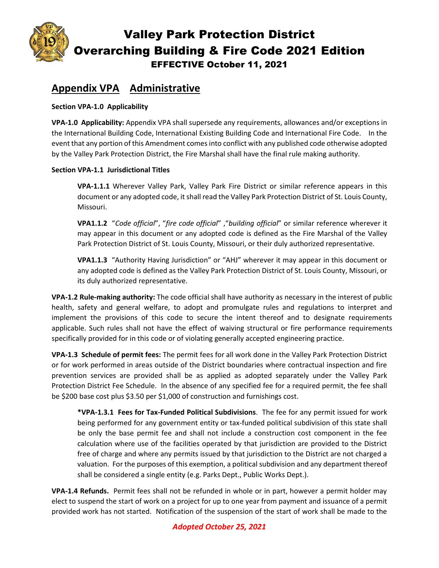

# **Appendix VPA Administrative**

#### **Section VPA-1.0 Applicability**

**VPA-1.0 Applicability:** Appendix VPA shall supersede any requirements, allowances and/or exceptions in the International Building Code, International Existing Building Code and International Fire Code. In the event that any portion of this Amendment comes into conflict with any published code otherwise adopted by the Valley Park Protection District, the Fire Marshal shall have the final rule making authority.

#### **Section VPA-1.1 Jurisdictional Titles**

**VPA-1.1.1** Wherever Valley Park, Valley Park Fire District or similar reference appears in this document or any adopted code, it shall read the Valley Park Protection District of St. Louis County, Missouri.

**VPA1.1.2** "*Code official*", "*fire code official*" ,"*building official*" or similar reference wherever it may appear in this document or any adopted code is defined as the Fire Marshal of the Valley Park Protection District of St. Louis County, Missouri, or their duly authorized representative.

**VPA1.1.3** "Authority Having Jurisdiction" or "AHJ" wherever it may appear in this document or any adopted code is defined as the Valley Park Protection District of St. Louis County, Missouri, or its duly authorized representative.

**VPA-1.2 Rule-making authority:** The code official shall have authority as necessary in the interest of public health, safety and general welfare, to adopt and promulgate rules and regulations to interpret and implement the provisions of this code to secure the intent thereof and to designate requirements applicable. Such rules shall not have the effect of waiving structural or fire performance requirements specifically provided for in this code or of violating generally accepted engineering practice.

**VPA-1.3 Schedule of permit fees:** The permit fees for all work done in the Valley Park Protection District or for work performed in areas outside of the District boundaries where contractual inspection and fire prevention services are provided shall be as applied as adopted separately under the Valley Park Protection District Fee Schedule. In the absence of any specified fee for a required permit, the fee shall be \$200 base cost plus \$3.50 per \$1,000 of construction and furnishings cost.

**\*VPA-1.3.1 Fees for Tax-Funded Political Subdivisions**. The fee for any permit issued for work being performed for any government entity or tax-funded political subdivision of this state shall be only the base permit fee and shall not include a construction cost component in the fee calculation where use of the facilities operated by that jurisdiction are provided to the District free of charge and where any permits issued by that jurisdiction to the District are not charged a valuation. For the purposes of this exemption, a political subdivision and any department thereof shall be considered a single entity (e.g. Parks Dept., Public Works Dept.).

**VPA-1.4 Refunds.** Permit fees shall not be refunded in whole or in part, however a permit holder may elect to suspend the start of work on a project for up to one year from payment and issuance of a permit provided work has not started. Notification of the suspension of the start of work shall be made to the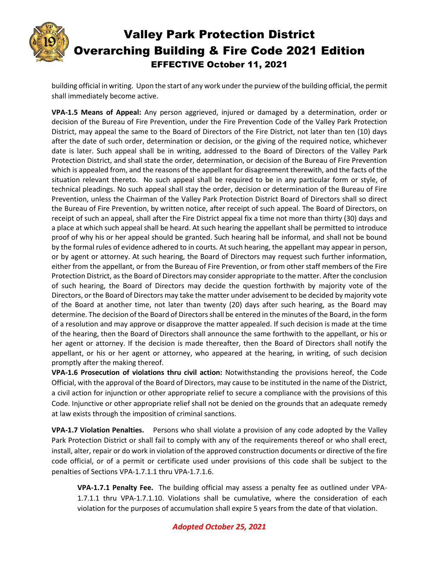

building official in writing. Upon the start of any work under the purview of the building official, the permit shall immediately become active.

**VPA-1.5 Means of Appeal:** Any person aggrieved, injured or damaged by a determination, order or decision of the Bureau of Fire Prevention, under the Fire Prevention Code of the Valley Park Protection District, may appeal the same to the Board of Directors of the Fire District, not later than ten (10) days after the date of such order, determination or decision, or the giving of the required notice, whichever date is later. Such appeal shall be in writing, addressed to the Board of Directors of the Valley Park Protection District, and shall state the order, determination, or decision of the Bureau of Fire Prevention which is appealed from, and the reasons of the appellant for disagreement therewith, and the facts of the situation relevant thereto. No such appeal shall be required to be in any particular form or style, of technical pleadings. No such appeal shall stay the order, decision or determination of the Bureau of Fire Prevention, unless the Chairman of the Valley Park Protection District Board of Directors shall so direct the Bureau of Fire Prevention, by written notice, after receipt of such appeal. The Board of Directors, on receipt of such an appeal, shall after the Fire District appeal fix a time not more than thirty (30) days and a place at which such appeal shall be heard. At such hearing the appellant shall be permitted to introduce proof of why his or her appeal should be granted. Such hearing hall be informal, and shall not be bound by the formal rules of evidence adhered to in courts. At such hearing, the appellant may appear in person, or by agent or attorney. At such hearing, the Board of Directors may request such further information, either from the appellant, or from the Bureau of Fire Prevention, or from other staff members of the Fire Protection District, as the Board of Directors may consider appropriate to the matter. After the conclusion of such hearing, the Board of Directors may decide the question forthwith by majority vote of the Directors, or the Board of Directors may take the matter under advisement to be decided by majority vote of the Board at another time, not later than twenty (20) days after such hearing, as the Board may determine. The decision of the Board of Directors shall be entered in the minutes of the Board, in the form of a resolution and may approve or disapprove the matter appealed. If such decision is made at the time of the hearing, then the Board of Directors shall announce the same forthwith to the appellant, or his or her agent or attorney. If the decision is made thereafter, then the Board of Directors shall notify the appellant, or his or her agent or attorney, who appeared at the hearing, in writing, of such decision promptly after the making thereof.

**VPA-1.6 Prosecution of violations thru civil action:** Notwithstanding the provisions hereof, the Code Official, with the approval of the Board of Directors, may cause to be instituted in the name of the District, a civil action for injunction or other appropriate relief to secure a compliance with the provisions of this Code. Injunctive or other appropriate relief shall not be denied on the grounds that an adequate remedy at law exists through the imposition of criminal sanctions.

**VPA-1.7 Violation Penalties.** Persons who shall violate a provision of any code adopted by the Valley Park Protection District or shall fail to comply with any of the requirements thereof or who shall erect, install, alter, repair or do work in violation of the approved construction documents or directive of the fire code official, or of a permit or certificate used under provisions of this code shall be subject to the penalties of Sections VPA-1.7.1.1 thru VPA-1.7.1.6.

**VPA-1.7.1 Penalty Fee.** The building official may assess a penalty fee as outlined under VPA-1.7.1.1 thru VPA-1.7.1.10. Violations shall be cumulative, where the consideration of each violation for the purposes of accumulation shall expire 5 years from the date of that violation.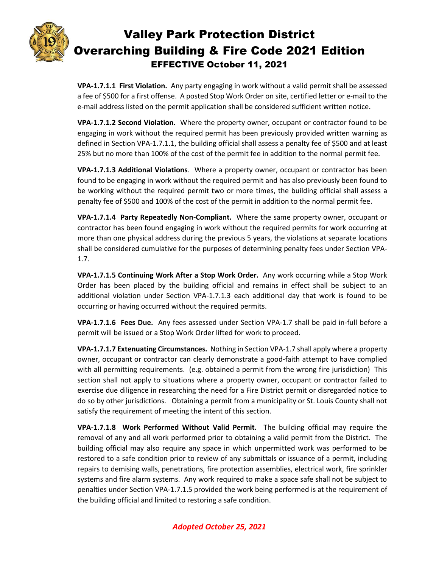

**VPA-1.7.1.1 First Violation.** Any party engaging in work without a valid permit shall be assessed a fee of \$500 for a first offense. A posted Stop Work Order on site, certified letter or e-mail to the e-mail address listed on the permit application shall be considered sufficient written notice.

**VPA-1.7.1.2 Second Violation.** Where the property owner, occupant or contractor found to be engaging in work without the required permit has been previously provided written warning as defined in Section VPA-1.7.1.1, the building official shall assess a penalty fee of \$500 and at least 25% but no more than 100% of the cost of the permit fee in addition to the normal permit fee.

**VPA-1.7.1.3 Additional Violations**. Where a property owner, occupant or contractor has been found to be engaging in work without the required permit and has also previously been found to be working without the required permit two or more times, the building official shall assess a penalty fee of \$500 and 100% of the cost of the permit in addition to the normal permit fee.

**VPA-1.7.1.4 Party Repeatedly Non-Compliant.** Where the same property owner, occupant or contractor has been found engaging in work without the required permits for work occurring at more than one physical address during the previous 5 years, the violations at separate locations shall be considered cumulative for the purposes of determining penalty fees under Section VPA-1.7.

**VPA-1.7.1.5 Continuing Work After a Stop Work Order.** Any work occurring while a Stop Work Order has been placed by the building official and remains in effect shall be subject to an additional violation under Section VPA-1.7.1.3 each additional day that work is found to be occurring or having occurred without the required permits.

**VPA-1.7.1.6 Fees Due.** Any fees assessed under Section VPA-1.7 shall be paid in-full before a permit will be issued or a Stop Work Order lifted for work to proceed.

**VPA-1.7.1.7 Extenuating Circumstances.** Nothing in Section VPA-1.7 shall apply where a property owner, occupant or contractor can clearly demonstrate a good-faith attempt to have complied with all permitting requirements. (e.g. obtained a permit from the wrong fire jurisdiction) This section shall not apply to situations where a property owner, occupant or contractor failed to exercise due diligence in researching the need for a Fire District permit or disregarded notice to do so by other jurisdictions. Obtaining a permit from a municipality or St. Louis County shall not satisfy the requirement of meeting the intent of this section.

**VPA-1.7.1.8 Work Performed Without Valid Permit.** The building official may require the removal of any and all work performed prior to obtaining a valid permit from the District. The building official may also require any space in which unpermitted work was performed to be restored to a safe condition prior to review of any submittals or issuance of a permit, including repairs to demising walls, penetrations, fire protection assemblies, electrical work, fire sprinkler systems and fire alarm systems. Any work required to make a space safe shall not be subject to penalties under Section VPA-1.7.1.5 provided the work being performed is at the requirement of the building official and limited to restoring a safe condition.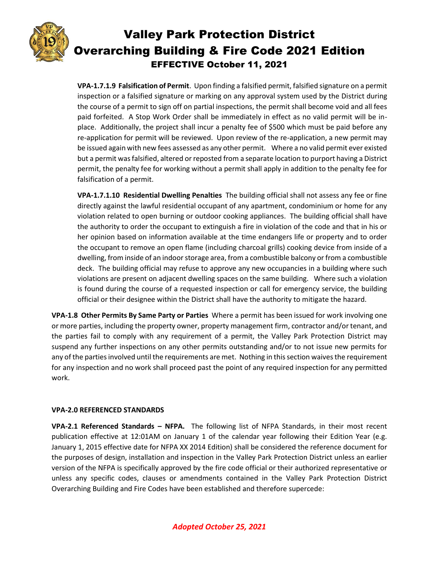

**VPA-1.7.1.9 Falsification of Permit**. Upon finding a falsified permit, falsified signature on a permit inspection or a falsified signature or marking on any approval system used by the District during the course of a permit to sign off on partial inspections, the permit shall become void and all fees paid forfeited. A Stop Work Order shall be immediately in effect as no valid permit will be inplace. Additionally, the project shall incur a penalty fee of \$500 which must be paid before any re-application for permit will be reviewed. Upon review of the re-application, a new permit may be issued again with new fees assessed as any other permit. Where a no valid permit ever existed but a permit was falsified, altered or reposted from a separate location to purport having a District permit, the penalty fee for working without a permit shall apply in addition to the penalty fee for falsification of a permit.

**VPA-1.7.1.10 Residential Dwelling Penalties** The building official shall not assess any fee or fine directly against the lawful residential occupant of any apartment, condominium or home for any violation related to open burning or outdoor cooking appliances. The building official shall have the authority to order the occupant to extinguish a fire in violation of the code and that in his or her opinion based on information available at the time endangers life or property and to order the occupant to remove an open flame (including charcoal grills) cooking device from inside of a dwelling, from inside of an indoor storage area, from a combustible balcony or from a combustible deck. The building official may refuse to approve any new occupancies in a building where such violations are present on adjacent dwelling spaces on the same building. Where such a violation is found during the course of a requested inspection or call for emergency service, the building official or their designee within the District shall have the authority to mitigate the hazard.

**VPA-1.8 Other Permits By Same Party or Parties** Where a permit has been issued for work involving one or more parties, including the property owner, property management firm, contractor and/or tenant, and the parties fail to comply with any requirement of a permit, the Valley Park Protection District may suspend any further inspections on any other permits outstanding and/or to not issue new permits for any of the parties involved until the requirements are met. Nothing in this section waives the requirement for any inspection and no work shall proceed past the point of any required inspection for any permitted work.

#### **VPA-2.0 REFERENCED STANDARDS**

**VPA-2.1 Referenced Standards – NFPA.** The following list of NFPA Standards, in their most recent publication effective at 12:01AM on January 1 of the calendar year following their Edition Year (e.g. January 1, 2015 effective date for NFPA XX 2014 Edition) shall be considered the reference document for the purposes of design, installation and inspection in the Valley Park Protection District unless an earlier version of the NFPA is specifically approved by the fire code official or their authorized representative or unless any specific codes, clauses or amendments contained in the Valley Park Protection District Overarching Building and Fire Codes have been established and therefore supercede: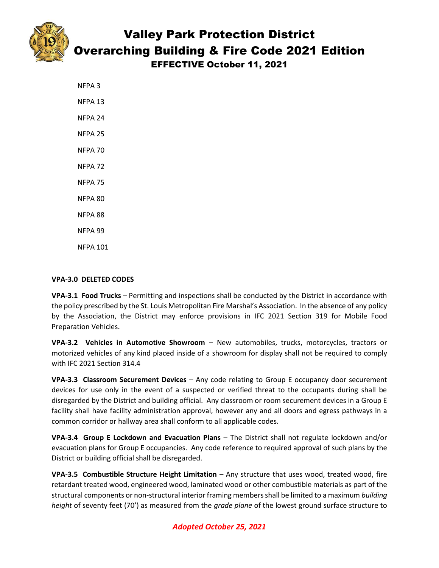



Overarching Building & Fire Code 2021 Edition

EFFECTIVE October 11, 2021

| NFPA 3             |
|--------------------|
| NFPA 13            |
| NFPA 24            |
| NFPA 25            |
| NFPA 70            |
| NFPA <sub>72</sub> |
| <b>NFPA 75</b>     |
| NFPA 80            |
| NFPA 88            |
| NFPA 99            |
| NFPA 101           |

#### **VPA-3.0 DELETED CODES**

**VPA-3.1 Food Trucks** – Permitting and inspections shall be conducted by the District in accordance with the policy prescribed by the St. Louis Metropolitan Fire Marshal's Association. In the absence of any policy by the Association, the District may enforce provisions in IFC 2021 Section 319 for Mobile Food Preparation Vehicles.

**VPA-3.2 Vehicles in Automotive Showroom** – New automobiles, trucks, motorcycles, tractors or motorized vehicles of any kind placed inside of a showroom for display shall not be required to comply with IFC 2021 Section 314.4

**VPA-3.3 Classroom Securement Devices** – Any code relating to Group E occupancy door securement devices for use only in the event of a suspected or verified threat to the occupants during shall be disregarded by the District and building official. Any classroom or room securement devices in a Group E facility shall have facility administration approval, however any and all doors and egress pathways in a common corridor or hallway area shall conform to all applicable codes.

**VPA-3.4 Group E Lockdown and Evacuation Plans** – The District shall not regulate lockdown and/or evacuation plans for Group E occupancies. Any code reference to required approval of such plans by the District or building official shall be disregarded.

**VPA-3.5 Combustible Structure Height Limitation** – Any structure that uses wood, treated wood, fire retardant treated wood, engineered wood, laminated wood or other combustible materials as part of the structural components or non-structural interior framing members shall be limited to a maximum *building height* of seventy feet (70') as measured from the *grade plane* of the lowest ground surface structure to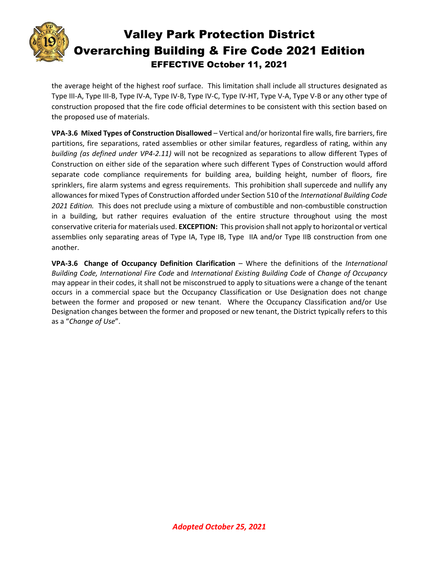

the average height of the highest roof surface. This limitation shall include all structures designated as Type III-A, Type III-B, Type IV-A, Type IV-B, Type IV-C, Type IV-HT, Type V-A, Type V-B or any other type of construction proposed that the fire code official determines to be consistent with this section based on the proposed use of materials.

**VPA-3.6 Mixed Types of Construction Disallowed** – Vertical and/or horizontal fire walls, fire barriers, fire partitions, fire separations, rated assemblies or other similar features, regardless of rating, within any *building (as defined under VP4-2.11)* will not be recognized as separations to allow different Types of Construction on either side of the separation where such different Types of Construction would afford separate code compliance requirements for building area, building height, number of floors, fire sprinklers, fire alarm systems and egress requirements. This prohibition shall supercede and nullify any allowances for mixed Types of Construction afforded under Section 510 of the *International Building Code 2021 Edition.* This does not preclude using a mixture of combustible and non-combustible construction in a building, but rather requires evaluation of the entire structure throughout using the most conservative criteria for materials used. **EXCEPTION:** This provision shall not apply to horizontal or vertical assemblies only separating areas of Type IA, Type IB, Type IIA and/or Type IIB construction from one another.

**VPA-3.6 Change of Occupancy Definition Clarification** – Where the definitions of the *International Building Code, International Fire Code* and *International Existing Building Code* of *Change of Occupancy* may appear in their codes, it shall not be misconstrued to apply to situations were a change of the tenant occurs in a commercial space but the Occupancy Classification or Use Designation does not change between the former and proposed or new tenant. Where the Occupancy Classification and/or Use Designation changes between the former and proposed or new tenant, the District typically refers to this as a "*Change of Use*".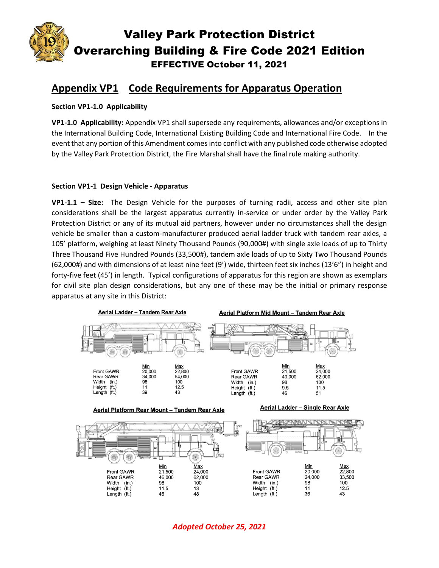

# **Appendix VP1 Code Requirements for Apparatus Operation**

#### **Section VP1-1.0 Applicability**

**VP1-1.0 Applicability:** Appendix VP1 shall supersede any requirements, allowances and/or exceptions in the International Building Code, International Existing Building Code and International Fire Code. In the event that any portion of this Amendment comesinto conflict with any published code otherwise adopted by the Valley Park Protection District, the Fire Marshal shall have the final rule making authority.

#### **Section VP1-1 Design Vehicle - Apparatus**

**VP1-1.1 – Size:** The Design Vehicle for the purposes of turning radii, access and other site plan considerations shall be the largest apparatus currently in-service or under order by the Valley Park Protection District or any of its mutual aid partners, however under no circumstances shall the design vehicle be smaller than a custom-manufacturer produced aerial ladder truck with tandem rear axles, a 105' platform, weighing at least Ninety Thousand Pounds (90,000#) with single axle loads of up to Thirty Three Thousand Five Hundred Pounds (33,500#), tandem axle loads of up to Sixty Two Thousand Pounds (62,000#) and with dimensions of at least nine feet (9') wide, thirteen feet six inches (13'6") in height and forty-five feet (45') in length. Typical configurations of apparatus for this region are shown as exemplars for civil site plan design considerations, but any one of these may be the initial or primary response apparatus at any site in this District:

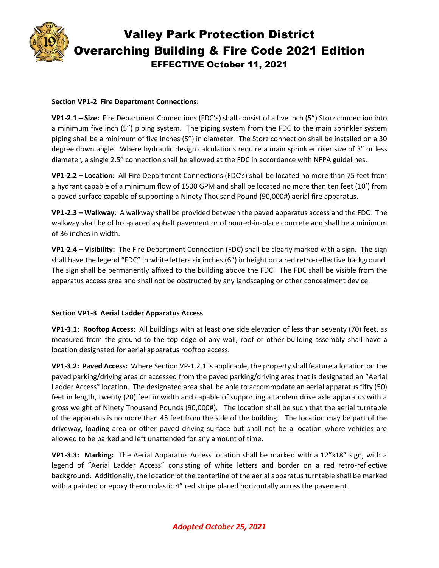

#### **Section VP1-2 Fire Department Connections:**

**VP1-2.1 – Size:** Fire Department Connections (FDC's) shall consist of a five inch (5") Storz connection into a minimum five inch (5") piping system. The piping system from the FDC to the main sprinkler system piping shall be a minimum of five inches (5") in diameter. The Storz connection shall be installed on a 30 degree down angle. Where hydraulic design calculations require a main sprinkler riser size of 3" or less diameter, a single 2.5" connection shall be allowed at the FDC in accordance with NFPA guidelines.

**VP1-2.2 – Location:** All Fire Department Connections (FDC's) shall be located no more than 75 feet from a hydrant capable of a minimum flow of 1500 GPM and shall be located no more than ten feet (10') from a paved surface capable of supporting a Ninety Thousand Pound (90,000#) aerial fire apparatus.

**VP1-2.3 – Walkway**: A walkway shall be provided between the paved apparatus access and the FDC. The walkway shall be of hot-placed asphalt pavement or of poured-in-place concrete and shall be a minimum of 36 inches in width.

**VP1-2.4 – Visibility:** The Fire Department Connection (FDC) shall be clearly marked with a sign. The sign shall have the legend "FDC" in white letters six inches (6") in height on a red retro-reflective background. The sign shall be permanently affixed to the building above the FDC. The FDC shall be visible from the apparatus access area and shall not be obstructed by any landscaping or other concealment device.

#### **Section VP1-3 Aerial Ladder Apparatus Access**

**VP1-3.1: Rooftop Access:** All buildings with at least one side elevation of less than seventy (70) feet, as measured from the ground to the top edge of any wall, roof or other building assembly shall have a location designated for aerial apparatus rooftop access.

**VP1-3.2: Paved Access:** Where Section VP-1.2.1 is applicable, the property shall feature a location on the paved parking/driving area or accessed from the paved parking/driving area that is designated an "Aerial Ladder Access" location. The designated area shall be able to accommodate an aerial apparatus fifty (50) feet in length, twenty (20) feet in width and capable of supporting a tandem drive axle apparatus with a gross weight of Ninety Thousand Pounds (90,000#). The location shall be such that the aerial turntable of the apparatus is no more than 45 feet from the side of the building. The location may be part of the driveway, loading area or other paved driving surface but shall not be a location where vehicles are allowed to be parked and left unattended for any amount of time.

**VP1-3.3: Marking:** The Aerial Apparatus Access location shall be marked with a 12"x18" sign, with a legend of "Aerial Ladder Access" consisting of white letters and border on a red retro-reflective background. Additionally, the location of the centerline of the aerial apparatus turntable shall be marked with a painted or epoxy thermoplastic 4" red stripe placed horizontally across the pavement.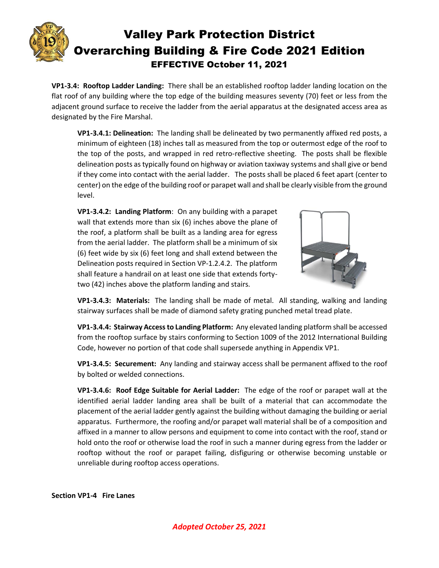

**VP1-3.4: Rooftop Ladder Landing:** There shall be an established rooftop ladder landing location on the flat roof of any building where the top edge of the building measures seventy (70) feet or less from the adjacent ground surface to receive the ladder from the aerial apparatus at the designated access area as designated by the Fire Marshal.

**VP1-3.4.1: Delineation:** The landing shall be delineated by two permanently affixed red posts, a minimum of eighteen (18) inches tall as measured from the top or outermost edge of the roof to the top of the posts, and wrapped in red retro-reflective sheeting. The posts shall be flexible delineation posts as typically found on highway or aviation taxiway systems and shall give or bend if they come into contact with the aerial ladder. The posts shall be placed 6 feet apart (center to center) on the edge of the building roof or parapet wall and shall be clearly visible from the ground level.

**VP1-3.4.2: Landing Platform**: On any building with a parapet wall that extends more than six (6) inches above the plane of the roof, a platform shall be built as a landing area for egress from the aerial ladder. The platform shall be a minimum of six (6) feet wide by six (6) feet long and shall extend between the Delineation posts required in Section VP-1.2.4.2. The platform shall feature a handrail on at least one side that extends fortytwo (42) inches above the platform landing and stairs.



**VP1-3.4.3: Materials:** The landing shall be made of metal. All standing, walking and landing stairway surfaces shall be made of diamond safety grating punched metal tread plate.

**VP1-3.4.4: Stairway Access to Landing Platform:** Any elevated landing platform shall be accessed from the rooftop surface by stairs conforming to Section 1009 of the 2012 International Building Code, however no portion of that code shall supersede anything in Appendix VP1.

**VP1-3.4.5: Securement:** Any landing and stairway access shall be permanent affixed to the roof by bolted or welded connections.

**VP1-3.4.6: Roof Edge Suitable for Aerial Ladder:** The edge of the roof or parapet wall at the identified aerial ladder landing area shall be built of a material that can accommodate the placement of the aerial ladder gently against the building without damaging the building or aerial apparatus. Furthermore, the roofing and/or parapet wall material shall be of a composition and affixed in a manner to allow persons and equipment to come into contact with the roof, stand or hold onto the roof or otherwise load the roof in such a manner during egress from the ladder or rooftop without the roof or parapet failing, disfiguring or otherwise becoming unstable or unreliable during rooftop access operations.

**Section VP1-4 Fire Lanes**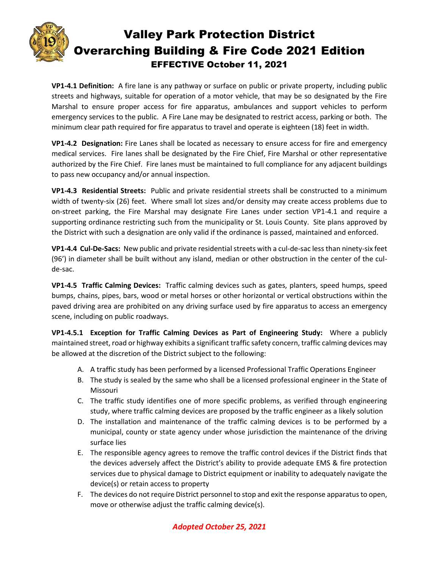

**VP1-4.1 Definition:** A fire lane is any pathway or surface on public or private property, including public streets and highways, suitable for operation of a motor vehicle, that may be so designated by the Fire Marshal to ensure proper access for fire apparatus, ambulances and support vehicles to perform emergency services to the public. A Fire Lane may be designated to restrict access, parking or both. The minimum clear path required for fire apparatus to travel and operate is eighteen (18) feet in width.

**VP1-4.2 Designation:** Fire Lanes shall be located as necessary to ensure access for fire and emergency medical services. Fire lanes shall be designated by the Fire Chief, Fire Marshal or other representative authorized by the Fire Chief. Fire lanes must be maintained to full compliance for any adjacent buildings to pass new occupancy and/or annual inspection.

**VP1-4.3 Residential Streets:** Public and private residential streets shall be constructed to a minimum width of twenty-six (26) feet. Where small lot sizes and/or density may create access problems due to on-street parking, the Fire Marshal may designate Fire Lanes under section VP1-4.1 and require a supporting ordinance restricting such from the municipality or St. Louis County. Site plans approved by the District with such a designation are only valid if the ordinance is passed, maintained and enforced.

**VP1-4.4 Cul-De-Sacs:** New public and private residential streets with a cul-de-sac less than ninety-six feet (96') in diameter shall be built without any island, median or other obstruction in the center of the culde-sac.

**VP1-4.5 Traffic Calming Devices:** Traffic calming devices such as gates, planters, speed humps, speed bumps, chains, pipes, bars, wood or metal horses or other horizontal or vertical obstructions within the paved driving area are prohibited on any driving surface used by fire apparatus to access an emergency scene, including on public roadways.

**VP1-4.5.1 Exception for Traffic Calming Devices as Part of Engineering Study:** Where a publicly maintained street, road or highway exhibits a significant traffic safety concern, traffic calming devices may be allowed at the discretion of the District subject to the following:

- A. A traffic study has been performed by a licensed Professional Traffic Operations Engineer
- B. The study is sealed by the same who shall be a licensed professional engineer in the State of Missouri
- C. The traffic study identifies one of more specific problems, as verified through engineering study, where traffic calming devices are proposed by the traffic engineer as a likely solution
- D. The installation and maintenance of the traffic calming devices is to be performed by a municipal, county or state agency under whose jurisdiction the maintenance of the driving surface lies
- E. The responsible agency agrees to remove the traffic control devices if the District finds that the devices adversely affect the District's ability to provide adequate EMS & fire protection services due to physical damage to District equipment or inability to adequately navigate the device(s) or retain access to property
- F. The devices do not require District personnel to stop and exit the response apparatus to open, move or otherwise adjust the traffic calming device(s).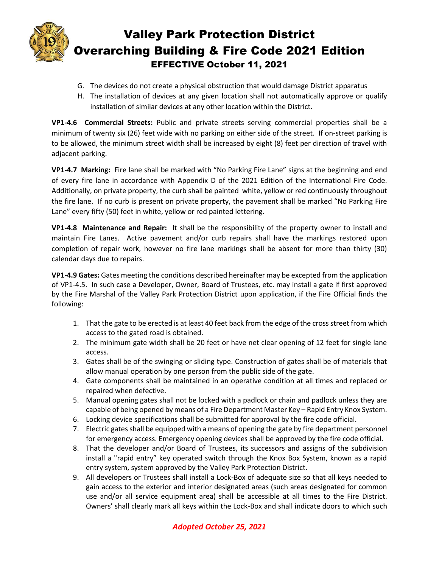

- G. The devices do not create a physical obstruction that would damage District apparatus
- H. The installation of devices at any given location shall not automatically approve or qualify installation of similar devices at any other location within the District.

**VP1-4.6 Commercial Streets:** Public and private streets serving commercial properties shall be a minimum of twenty six (26) feet wide with no parking on either side of the street. If on-street parking is to be allowed, the minimum street width shall be increased by eight (8) feet per direction of travel with adjacent parking.

**VP1-4.7 Marking:** Fire lane shall be marked with "No Parking Fire Lane" signs at the beginning and end of every fire lane in accordance with Appendix D of the 2021 Edition of the International Fire Code. Additionally, on private property, the curb shall be painted white, yellow or red continuously throughout the fire lane. If no curb is present on private property, the pavement shall be marked "No Parking Fire Lane" every fifty (50) feet in white, yellow or red painted lettering.

**VP1-4.8 Maintenance and Repair:** It shall be the responsibility of the property owner to install and maintain Fire Lanes. Active pavement and/or curb repairs shall have the markings restored upon completion of repair work, however no fire lane markings shall be absent for more than thirty (30) calendar days due to repairs.

**VP1-4.9 Gates:** Gates meeting the conditions described hereinafter may be excepted from the application of VP1-4.5. In such case a Developer, Owner, Board of Trustees, etc. may install a gate if first approved by the Fire Marshal of the Valley Park Protection District upon application, if the Fire Official finds the following:

- 1. That the gate to be erected is at least 40 feet back from the edge of the cross street from which access to the gated road is obtained.
- 2. The minimum gate width shall be 20 feet or have net clear opening of 12 feet for single lane access.
- 3. Gates shall be of the swinging or sliding type. Construction of gates shall be of materials that allow manual operation by one person from the public side of the gate.
- 4. Gate components shall be maintained in an operative condition at all times and replaced or repaired when defective.
- 5. Manual opening gates shall not be locked with a padlock or chain and padlock unless they are capable of being opened by means of a Fire Department Master Key – Rapid Entry Knox System.
- 6. Locking device specifications shall be submitted for approval by the fire code official.
- 7. Electric gates shall be equipped with a means of opening the gate by fire department personnel for emergency access. Emergency opening devices shall be approved by the fire code official.
- 8. That the developer and/or Board of Trustees, its successors and assigns of the subdivision install a "rapid entry" key operated switch through the Knox Box System, known as a rapid entry system, system approved by the Valley Park Protection District.
- 9. All developers or Trustees shall install a Lock-Box of adequate size so that all keys needed to gain access to the exterior and interior designated areas (such areas designated for common use and/or all service equipment area) shall be accessible at all times to the Fire District. Owners' shall clearly mark all keys within the Lock-Box and shall indicate doors to which such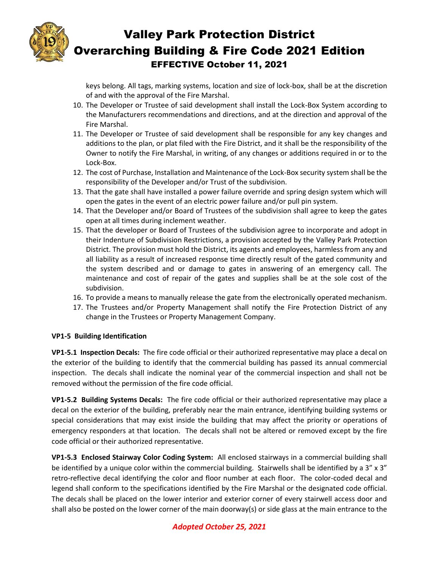

keys belong. All tags, marking systems, location and size of lock-box, shall be at the discretion of and with the approval of the Fire Marshal.

- 10. The Developer or Trustee of said development shall install the Lock-Box System according to the Manufacturers recommendations and directions, and at the direction and approval of the Fire Marshal.
- 11. The Developer or Trustee of said development shall be responsible for any key changes and additions to the plan, or plat filed with the Fire District, and it shall be the responsibility of the Owner to notify the Fire Marshal, in writing, of any changes or additions required in or to the Lock-Box.
- 12. The cost of Purchase, Installation and Maintenance of the Lock-Box security system shall be the responsibility of the Developer and/or Trust of the subdivision.
- 13. That the gate shall have installed a power failure override and spring design system which will open the gates in the event of an electric power failure and/or pull pin system.
- 14. That the Developer and/or Board of Trustees of the subdivision shall agree to keep the gates open at all times during inclement weather.
- 15. That the developer or Board of Trustees of the subdivision agree to incorporate and adopt in their Indenture of Subdivision Restrictions, a provision accepted by the Valley Park Protection District. The provision must hold the District, its agents and employees, harmless from any and all liability as a result of increased response time directly result of the gated community and the system described and or damage to gates in answering of an emergency call. The maintenance and cost of repair of the gates and supplies shall be at the sole cost of the subdivision.
- 16. To provide a means to manually release the gate from the electronically operated mechanism.
- 17. The Trustees and/or Property Management shall notify the Fire Protection District of any change in the Trustees or Property Management Company.

#### **VP1-5 Building Identification**

**VP1-5.1 Inspection Decals:** The fire code official or their authorized representative may place a decal on the exterior of the building to identify that the commercial building has passed its annual commercial inspection. The decals shall indicate the nominal year of the commercial inspection and shall not be removed without the permission of the fire code official.

**VP1-5.2 Building Systems Decals:** The fire code official or their authorized representative may place a decal on the exterior of the building, preferably near the main entrance, identifying building systems or special considerations that may exist inside the building that may affect the priority or operations of emergency responders at that location. The decals shall not be altered or removed except by the fire code official or their authorized representative.

**VP1-5.3 Enclosed Stairway Color Coding System:** All enclosed stairways in a commercial building shall be identified by a unique color within the commercial building. Stairwells shall be identified by a 3" x 3" retro-reflective decal identifying the color and floor number at each floor. The color-coded decal and legend shall conform to the specifications identified by the Fire Marshal or the designated code official. The decals shall be placed on the lower interior and exterior corner of every stairwell access door and shall also be posted on the lower corner of the main doorway(s) or side glass at the main entrance to the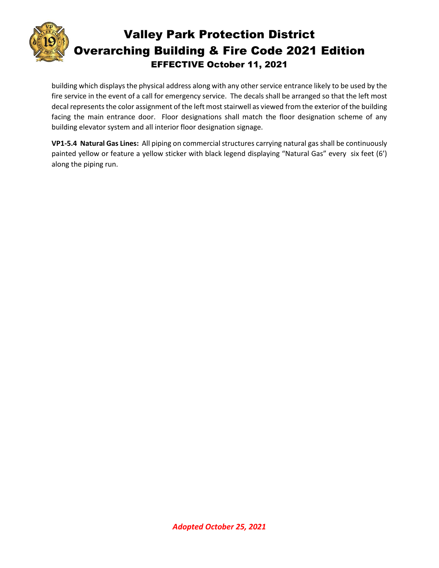

building which displays the physical address along with any other service entrance likely to be used by the fire service in the event of a call for emergency service. The decals shall be arranged so that the left most decal represents the color assignment of the left most stairwell as viewed from the exterior of the building facing the main entrance door. Floor designations shall match the floor designation scheme of any building elevator system and all interior floor designation signage.

**VP1-5.4 Natural Gas Lines:** All piping on commercial structures carrying natural gas shall be continuously painted yellow or feature a yellow sticker with black legend displaying "Natural Gas" every six feet (6') along the piping run.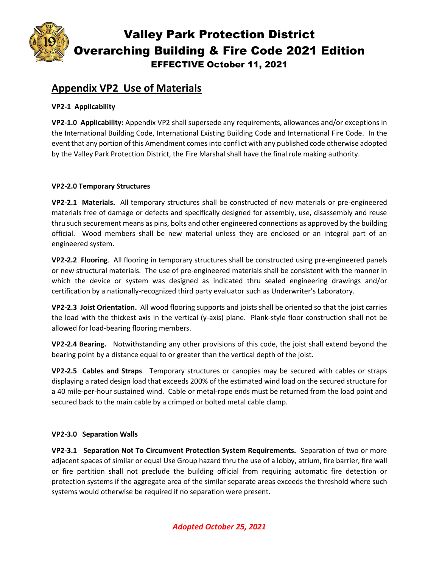

## **Appendix VP2 Use of Materials**

#### **VP2-1 Applicability**

**VP2-1.0 Applicability:** Appendix VP2 shall supersede any requirements, allowances and/or exceptions in the International Building Code, International Existing Building Code and International Fire Code. In the event that any portion of this Amendment comesinto conflict with any published code otherwise adopted by the Valley Park Protection District, the Fire Marshal shall have the final rule making authority.

#### **VP2-2.0 Temporary Structures**

**VP2-2.1 Materials.** All temporary structures shall be constructed of new materials or pre-engineered materials free of damage or defects and specifically designed for assembly, use, disassembly and reuse thru such securement means as pins, bolts and other engineered connections as approved by the building official. Wood members shall be new material unless they are enclosed or an integral part of an engineered system.

**VP2-2.2 Flooring**. All flooring in temporary structures shall be constructed using pre-engineered panels or new structural materials. The use of pre-engineered materials shall be consistent with the manner in which the device or system was designed as indicated thru sealed engineering drawings and/or certification by a nationally-recognized third party evaluator such as Underwriter's Laboratory.

**VP2-2.3 Joist Orientation.** All wood flooring supports and joists shall be oriented so that the joist carries the load with the thickest axis in the vertical (y-axis) plane. Plank-style floor construction shall not be allowed for load-bearing flooring members.

**VP2-2.4 Bearing.** Notwithstanding any other provisions of this code, the joist shall extend beyond the bearing point by a distance equal to or greater than the vertical depth of the joist.

**VP2-2.5 Cables and Straps**. Temporary structures or canopies may be secured with cables or straps displaying a rated design load that exceeds 200% of the estimated wind load on the secured structure for a 40 mile-per-hour sustained wind. Cable or metal-rope ends must be returned from the load point and secured back to the main cable by a crimped or bolted metal cable clamp.

#### **VP2-3.0 Separation Walls**

**VP2-3.1 Separation Not To Circumvent Protection System Requirements.** Separation of two or more adjacent spaces of similar or equal Use Group hazard thru the use of a lobby, atrium, fire barrier, fire wall or fire partition shall not preclude the building official from requiring automatic fire detection or protection systems if the aggregate area of the similar separate areas exceeds the threshold where such systems would otherwise be required if no separation were present.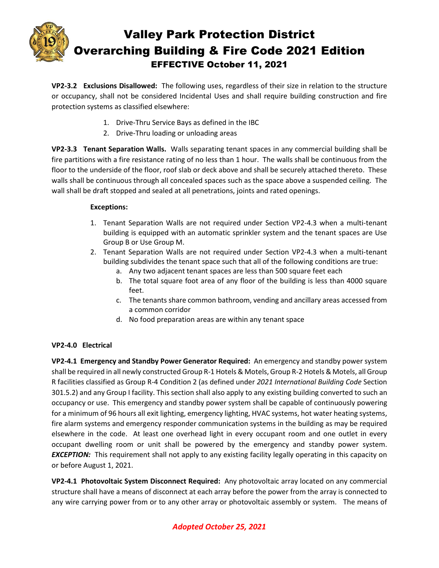

**VP2-3.2 Exclusions Disallowed:** The following uses, regardless of their size in relation to the structure or occupancy, shall not be considered Incidental Uses and shall require building construction and fire protection systems as classified elsewhere:

- 1. Drive-Thru Service Bays as defined in the IBC
- 2. Drive-Thru loading or unloading areas

**VP2-3.3 Tenant Separation Walls.** Walls separating tenant spaces in any commercial building shall be fire partitions with a fire resistance rating of no less than 1 hour. The walls shall be continuous from the floor to the underside of the floor, roof slab or deck above and shall be securely attached thereto. These walls shall be continuous through all concealed spaces such as the space above a suspended ceiling. The wall shall be draft stopped and sealed at all penetrations, joints and rated openings.

#### **Exceptions:**

- 1. Tenant Separation Walls are not required under Section VP2-4.3 when a multi-tenant building is equipped with an automatic sprinkler system and the tenant spaces are Use Group B or Use Group M.
- 2. Tenant Separation Walls are not required under Section VP2-4.3 when a multi-tenant building subdivides the tenant space such that all of the following conditions are true:
	- a. Any two adjacent tenant spaces are less than 500 square feet each
	- b. The total square foot area of any floor of the building is less than 4000 square feet.
	- c. The tenants share common bathroom, vending and ancillary areas accessed from a common corridor
	- d. No food preparation areas are within any tenant space

### **VP2-4.0 Electrical**

**VP2-4.1 Emergency and Standby Power Generator Required:** An emergency and standby power system shall be required in all newly constructed Group R-1 Hotels & Motels, Group R-2 Hotels & Motels, all Group R facilities classified as Group R-4 Condition 2 (as defined under *2021 International Building Code* Section 301.5.2) and any Group I facility. This section shall also apply to any existing building converted to such an occupancy or use. This emergency and standby power system shall be capable of continuously powering for a minimum of 96 hours all exit lighting, emergency lighting, HVAC systems, hot water heating systems, fire alarm systems and emergency responder communication systems in the building as may be required elsewhere in the code. At least one overhead light in every occupant room and one outlet in every occupant dwelling room or unit shall be powered by the emergency and standby power system. **EXCEPTION:** This requirement shall not apply to any existing facility legally operating in this capacity on or before August 1, 2021.

**VP2-4.1 Photovoltaic System Disconnect Required:** Any photovoltaic array located on any commercial structure shall have a means of disconnect at each array before the power from the array is connected to any wire carrying power from or to any other array or photovoltaic assembly or system. The means of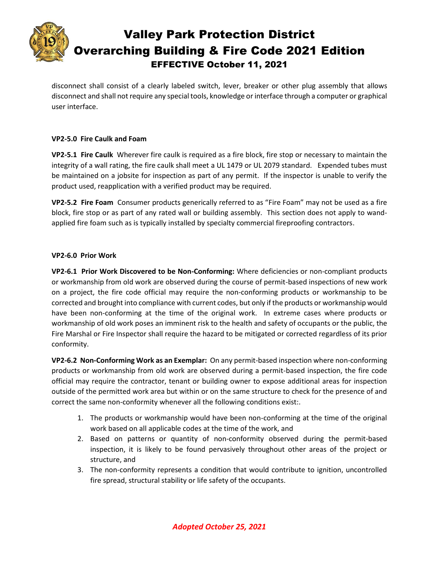![](_page_15_Picture_0.jpeg)

disconnect shall consist of a clearly labeled switch, lever, breaker or other plug assembly that allows disconnect and shall not require any special tools, knowledge or interface through a computer or graphical user interface.

#### **VP2-5.0 Fire Caulk and Foam**

**VP2-5.1 Fire Caulk** Wherever fire caulk is required as a fire block, fire stop or necessary to maintain the integrity of a wall rating, the fire caulk shall meet a UL 1479 or UL 2079 standard. Expended tubes must be maintained on a jobsite for inspection as part of any permit. If the inspector is unable to verify the product used, reapplication with a verified product may be required.

**VP2-5.2 Fire Foam** Consumer products generically referred to as "Fire Foam" may not be used as a fire block, fire stop or as part of any rated wall or building assembly. This section does not apply to wandapplied fire foam such as is typically installed by specialty commercial fireproofing contractors.

#### **VP2-6.0 Prior Work**

**VP2-6.1 Prior Work Discovered to be Non-Conforming:** Where deficiencies or non-compliant products or workmanship from old work are observed during the course of permit-based inspections of new work on a project, the fire code official may require the non-conforming products or workmanship to be corrected and brought into compliance with current codes, but only if the products or workmanship would have been non-conforming at the time of the original work. In extreme cases where products or workmanship of old work poses an imminent risk to the health and safety of occupants or the public, the Fire Marshal or Fire Inspector shall require the hazard to be mitigated or corrected regardless of its prior conformity.

**VP2-6.2 Non-Conforming Work as an Exemplar:** On any permit-based inspection where non-conforming products or workmanship from old work are observed during a permit-based inspection, the fire code official may require the contractor, tenant or building owner to expose additional areas for inspection outside of the permitted work area but within or on the same structure to check for the presence of and correct the same non-conformity whenever all the following conditions exist:.

- 1. The products or workmanship would have been non-conforming at the time of the original work based on all applicable codes at the time of the work, and
- 2. Based on patterns or quantity of non-conformity observed during the permit-based inspection, it is likely to be found pervasively throughout other areas of the project or structure, and
- 3. The non-conformity represents a condition that would contribute to ignition, uncontrolled fire spread, structural stability or life safety of the occupants.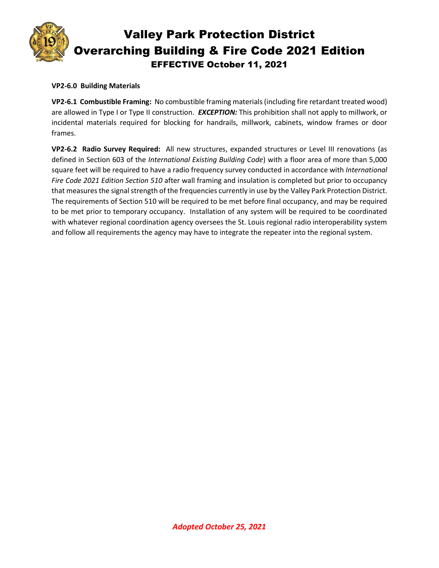![](_page_16_Picture_0.jpeg)

#### **VP2-6.0 Building Materials**

**VP2-6.1 Combustible Framing:** No combustible framing materials(including fire retardant treated wood) are allowed in Type I or Type II construction. *EXCEPTION:* This prohibition shall not apply to millwork, or incidental materials required for blocking for handrails, millwork, cabinets, window frames or door frames.

**VP2-6.2 Radio Survey Required:** All new structures, expanded structures or Level III renovations (as defined in Section 603 of the *International Existing Building Code*) with a floor area of more than 5,000 square feet will be required to have a radio frequency survey conducted in accordance with *International Fire Code 2021 Edition Section 510* after wall framing and insulation is completed but prior to occupancy that measures the signal strength of the frequencies currently in use by the Valley Park Protection District. The requirements of Section 510 will be required to be met before final occupancy, and may be required to be met prior to temporary occupancy. Installation of any system will be required to be coordinated with whatever regional coordination agency oversees the St. Louis regional radio interoperability system and follow all requirements the agency may have to integrate the repeater into the regional system.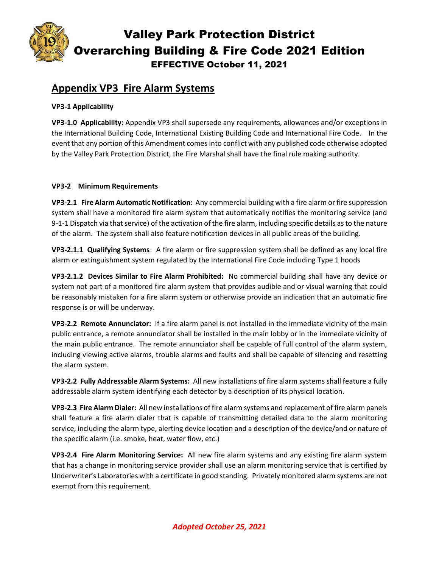![](_page_17_Picture_0.jpeg)

## **Appendix VP3 Fire Alarm Systems**

#### **VP3-1 Applicability**

**VP3-1.0 Applicability:** Appendix VP3 shall supersede any requirements, allowances and/or exceptions in the International Building Code, International Existing Building Code and International Fire Code. In the event that any portion of this Amendment comesinto conflict with any published code otherwise adopted by the Valley Park Protection District, the Fire Marshal shall have the final rule making authority.

#### **VP3-2 Minimum Requirements**

**VP3-2.1 Fire Alarm Automatic Notification:** Any commercial building with a fire alarm or fire suppression system shall have a monitored fire alarm system that automatically notifies the monitoring service (and 9-1-1 Dispatch via that service) of the activation of the fire alarm, including specific details as to the nature of the alarm. The system shall also feature notification devices in all public areas of the building.

**VP3-2.1.1 Qualifying Systems**: A fire alarm or fire suppression system shall be defined as any local fire alarm or extinguishment system regulated by the International Fire Code including Type 1 hoods

**VP3-2.1.2 Devices Similar to Fire Alarm Prohibited:** No commercial building shall have any device or system not part of a monitored fire alarm system that provides audible and or visual warning that could be reasonably mistaken for a fire alarm system or otherwise provide an indication that an automatic fire response is or will be underway.

**VP3-2.2 Remote Annunciator:** If a fire alarm panel is not installed in the immediate vicinity of the main public entrance, a remote annunciator shall be installed in the main lobby or in the immediate vicinity of the main public entrance. The remote annunciator shall be capable of full control of the alarm system, including viewing active alarms, trouble alarms and faults and shall be capable of silencing and resetting the alarm system.

**VP3-2.2 Fully Addressable Alarm Systems:** All new installations of fire alarm systems shall feature a fully addressable alarm system identifying each detector by a description of its physical location.

**VP3-2.3 Fire Alarm Dialer:** All new installations of fire alarm systems and replacement of fire alarm panels shall feature a fire alarm dialer that is capable of transmitting detailed data to the alarm monitoring service, including the alarm type, alerting device location and a description of the device/and or nature of the specific alarm (i.e. smoke, heat, water flow, etc.)

**VP3-2.4 Fire Alarm Monitoring Service:** All new fire alarm systems and any existing fire alarm system that has a change in monitoring service provider shall use an alarm monitoring service that is certified by Underwriter's Laboratories with a certificate in good standing. Privately monitored alarm systems are not exempt from this requirement.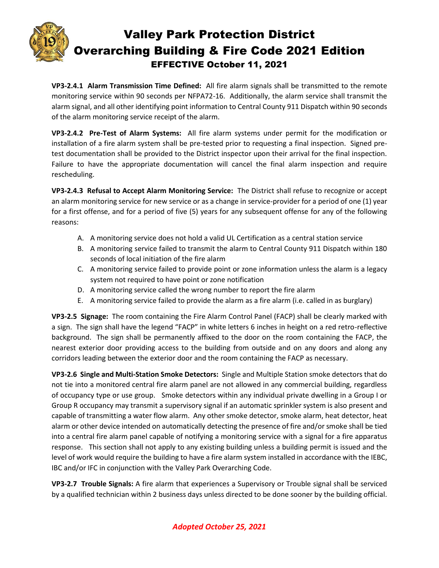![](_page_18_Picture_0.jpeg)

**VP3-2.4.1 Alarm Transmission Time Defined:** All fire alarm signals shall be transmitted to the remote monitoring service within 90 seconds per NFPA72-16. Additionally, the alarm service shall transmit the alarm signal, and all other identifying point information to Central County 911 Dispatch within 90 seconds of the alarm monitoring service receipt of the alarm.

**VP3-2.4.2 Pre-Test of Alarm Systems:** All fire alarm systems under permit for the modification or installation of a fire alarm system shall be pre-tested prior to requesting a final inspection. Signed pretest documentation shall be provided to the District inspector upon their arrival for the final inspection. Failure to have the appropriate documentation will cancel the final alarm inspection and require rescheduling.

**VP3-2.4.3 Refusal to Accept Alarm Monitoring Service:** The District shall refuse to recognize or accept an alarm monitoring service for new service or as a change in service-provider for a period of one (1) year for a first offense, and for a period of five (5) years for any subsequent offense for any of the following reasons:

- A. A monitoring service does not hold a valid UL Certification as a central station service
- B. A monitoring service failed to transmit the alarm to Central County 911 Dispatch within 180 seconds of local initiation of the fire alarm
- C. A monitoring service failed to provide point or zone information unless the alarm is a legacy system not required to have point or zone notification
- D. A monitoring service called the wrong number to report the fire alarm
- E. A monitoring service failed to provide the alarm as a fire alarm (i.e. called in as burglary)

**VP3-2.5 Signage:** The room containing the Fire Alarm Control Panel (FACP) shall be clearly marked with a sign. The sign shall have the legend "FACP" in white letters 6 inches in height on a red retro-reflective background. The sign shall be permanently affixed to the door on the room containing the FACP, the nearest exterior door providing access to the building from outside and on any doors and along any corridors leading between the exterior door and the room containing the FACP as necessary.

**VP3-2.6 Single and Multi-Station Smoke Detectors:** Single and Multiple Station smoke detectors that do not tie into a monitored central fire alarm panel are not allowed in any commercial building, regardless of occupancy type or use group. Smoke detectors within any individual private dwelling in a Group I or Group R occupancy may transmit a supervisory signal if an automatic sprinkler system is also present and capable of transmitting a water flow alarm. Any other smoke detector, smoke alarm, heat detector, heat alarm or other device intended on automatically detecting the presence of fire and/or smoke shall be tied into a central fire alarm panel capable of notifying a monitoring service with a signal for a fire apparatus response. This section shall not apply to any existing building unless a building permit is issued and the level of work would require the building to have a fire alarm system installed in accordance with the IEBC, IBC and/or IFC in conjunction with the Valley Park Overarching Code.

**VP3-2.7 Trouble Signals:** A fire alarm that experiences a Supervisory or Trouble signal shall be serviced by a qualified technician within 2 business days unless directed to be done sooner by the building official.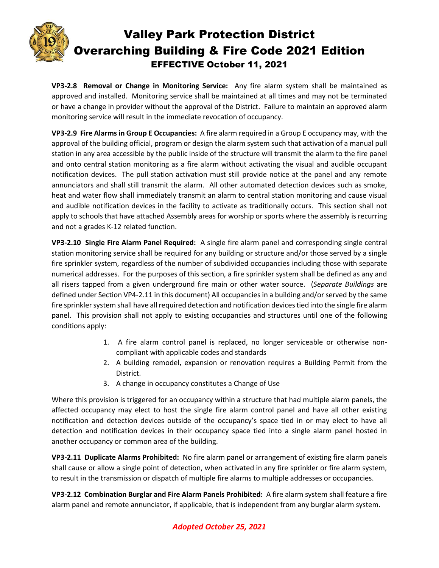![](_page_19_Picture_0.jpeg)

**VP3-2.8 Removal or Change in Monitoring Service:** Any fire alarm system shall be maintained as approved and installed. Monitoring service shall be maintained at all times and may not be terminated or have a change in provider without the approval of the District. Failure to maintain an approved alarm monitoring service will result in the immediate revocation of occupancy.

**VP3-2.9 Fire Alarms in Group E Occupancies:** A fire alarm required in a Group E occupancy may, with the approval of the building official, program or design the alarm system such that activation of a manual pull station in any area accessible by the public inside of the structure will transmit the alarm to the fire panel and onto central station monitoring as a fire alarm without activating the visual and audible occupant notification devices. The pull station activation must still provide notice at the panel and any remote annunciators and shall still transmit the alarm. All other automated detection devices such as smoke, heat and water flow shall immediately transmit an alarm to central station monitoring and cause visual and audible notification devices in the facility to activate as traditionally occurs. This section shall not apply to schools that have attached Assembly areas for worship or sports where the assembly is recurring and not a grades K-12 related function.

**VP3-2.10 Single Fire Alarm Panel Required:** A single fire alarm panel and corresponding single central station monitoring service shall be required for any building or structure and/or those served by a single fire sprinkler system, regardless of the number of subdivided occupancies including those with separate numerical addresses. For the purposes of this section, a fire sprinkler system shall be defined as any and all risers tapped from a given underground fire main or other water source. (*Separate Buildings* are defined under Section VP4-2.11 in this document) All occupancies in a building and/or served by the same fire sprinkler system shall have all required detection and notification devices tied into the single fire alarm panel. This provision shall not apply to existing occupancies and structures until one of the following conditions apply:

- 1. A fire alarm control panel is replaced, no longer serviceable or otherwise noncompliant with applicable codes and standards
- 2. A building remodel, expansion or renovation requires a Building Permit from the District.
- 3. A change in occupancy constitutes a Change of Use

Where this provision is triggered for an occupancy within a structure that had multiple alarm panels, the affected occupancy may elect to host the single fire alarm control panel and have all other existing notification and detection devices outside of the occupancy's space tied in or may elect to have all detection and notification devices in their occupancy space tied into a single alarm panel hosted in another occupancy or common area of the building.

**VP3-2.11 Duplicate Alarms Prohibited:** No fire alarm panel or arrangement of existing fire alarm panels shall cause or allow a single point of detection, when activated in any fire sprinkler or fire alarm system, to result in the transmission or dispatch of multiple fire alarms to multiple addresses or occupancies.

**VP3-2.12 Combination Burglar and Fire Alarm Panels Prohibited:** A fire alarm system shall feature a fire alarm panel and remote annunciator, if applicable, that is independent from any burglar alarm system.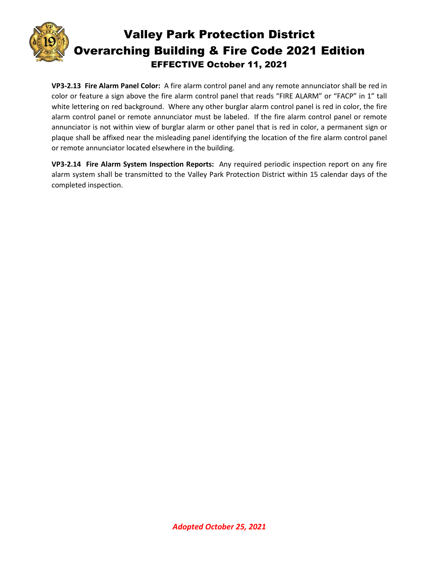![](_page_20_Picture_0.jpeg)

**VP3-2.13 Fire Alarm Panel Color:** A fire alarm control panel and any remote annunciator shall be red in color or feature a sign above the fire alarm control panel that reads "FIRE ALARM" or "FACP" in 1" tall white lettering on red background. Where any other burglar alarm control panel is red in color, the fire alarm control panel or remote annunciator must be labeled. If the fire alarm control panel or remote annunciator is not within view of burglar alarm or other panel that is red in color, a permanent sign or plaque shall be affixed near the misleading panel identifying the location of the fire alarm control panel or remote annunciator located elsewhere in the building.

**VP3-2.14 Fire Alarm System Inspection Reports:** Any required periodic inspection report on any fire alarm system shall be transmitted to the Valley Park Protection District within 15 calendar days of the completed inspection.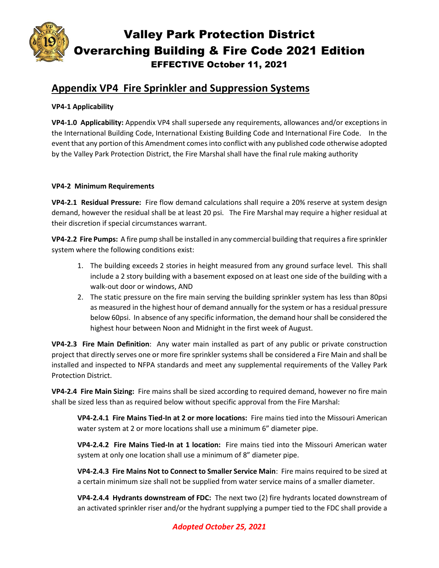![](_page_21_Picture_0.jpeg)

## **Appendix VP4 Fire Sprinkler and Suppression Systems**

#### **VP4-1 Applicability**

**VP4-1.0 Applicability:** Appendix VP4 shall supersede any requirements, allowances and/or exceptions in the International Building Code, International Existing Building Code and International Fire Code. In the event that any portion of this Amendment comesinto conflict with any published code otherwise adopted by the Valley Park Protection District, the Fire Marshal shall have the final rule making authority

#### **VP4-2 Minimum Requirements**

**VP4-2.1 Residual Pressure:** Fire flow demand calculations shall require a 20% reserve at system design demand, however the residual shall be at least 20 psi. The Fire Marshal may require a higher residual at their discretion if special circumstances warrant.

**VP4-2.2 Fire Pumps:** A fire pump shall be installed in any commercial building that requires a fire sprinkler system where the following conditions exist:

- 1. The building exceeds 2 stories in height measured from any ground surface level. This shall include a 2 story building with a basement exposed on at least one side of the building with a walk-out door or windows, AND
- 2. The static pressure on the fire main serving the building sprinkler system has less than 80psi as measured in the highest hour of demand annually for the system or has a residual pressure below 60psi. In absence of any specific information, the demand hour shall be considered the highest hour between Noon and Midnight in the first week of August.

**VP4-2.3 Fire Main Definition**: Any water main installed as part of any public or private construction project that directly serves one or more fire sprinkler systems shall be considered a Fire Main and shall be installed and inspected to NFPA standards and meet any supplemental requirements of the Valley Park Protection District.

**VP4-2.4 Fire Main Sizing:** Fire mains shall be sized according to required demand, however no fire main shall be sized less than as required below without specific approval from the Fire Marshal:

**VP4-2.4.1 Fire Mains Tied-In at 2 or more locations:** Fire mains tied into the Missouri American water system at 2 or more locations shall use a minimum 6" diameter pipe.

**VP4-2.4.2 Fire Mains Tied-In at 1 location:** Fire mains tied into the Missouri American water system at only one location shall use a minimum of 8" diameter pipe.

**VP4-2.4.3 Fire Mains Not to Connect to Smaller Service Main**: Fire mains required to be sized at a certain minimum size shall not be supplied from water service mains of a smaller diameter.

**VP4-2.4.4 Hydrants downstream of FDC:** The next two (2) fire hydrants located downstream of an activated sprinkler riser and/or the hydrant supplying a pumper tied to the FDC shall provide a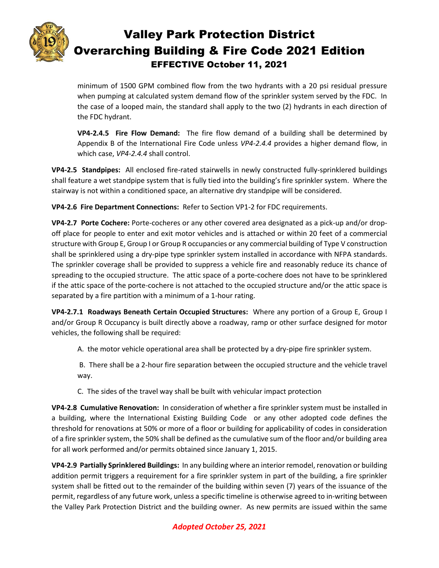![](_page_22_Picture_0.jpeg)

minimum of 1500 GPM combined flow from the two hydrants with a 20 psi residual pressure when pumping at calculated system demand flow of the sprinkler system served by the FDC. In the case of a looped main, the standard shall apply to the two (2) hydrants in each direction of the FDC hydrant.

**VP4-2.4.5 Fire Flow Demand:** The fire flow demand of a building shall be determined by Appendix B of the International Fire Code unless *VP4-2.4.4* provides a higher demand flow, in which case, *VP4-2.4.4* shall control.

**VP4-2.5 Standpipes:** All enclosed fire-rated stairwells in newly constructed fully-sprinklered buildings shall feature a wet standpipe system that is fully tied into the building's fire sprinkler system. Where the stairway is not within a conditioned space, an alternative dry standpipe will be considered.

**VP4-2.6 Fire Department Connections:** Refer to Section VP1-2 for FDC requirements.

**VP4-2.7 Porte Cochere:** Porte-cocheres or any other covered area designated as a pick-up and/or dropoff place for people to enter and exit motor vehicles and is attached or within 20 feet of a commercial structure with Group E, Group I or Group R occupancies or any commercial building of Type V construction shall be sprinklered using a dry-pipe type sprinkler system installed in accordance with NFPA standards. The sprinkler coverage shall be provided to suppress a vehicle fire and reasonably reduce its chance of spreading to the occupied structure. The attic space of a porte-cochere does not have to be sprinklered if the attic space of the porte-cochere is not attached to the occupied structure and/or the attic space is separated by a fire partition with a minimum of a 1-hour rating.

**VP4-2.7.1 Roadways Beneath Certain Occupied Structures:** Where any portion of a Group E, Group I and/or Group R Occupancy is built directly above a roadway, ramp or other surface designed for motor vehicles, the following shall be required:

A. the motor vehicle operational area shall be protected by a dry-pipe fire sprinkler system.

B. There shall be a 2-hour fire separation between the occupied structure and the vehicle travel way.

C. The sides of the travel way shall be built with vehicular impact protection

**VP4-2.8 Cumulative Renovation:** In consideration of whether a fire sprinkler system must be installed in a building, where the International Existing Building Code or any other adopted code defines the threshold for renovations at 50% or more of a floor or building for applicability of codes in consideration of a fire sprinkler system, the 50% shall be defined as the cumulative sum of the floor and/or building area for all work performed and/or permits obtained since January 1, 2015.

**VP4-2.9 Partially Sprinklered Buildings:** In any building where an interior remodel, renovation or building addition permit triggers a requirement for a fire sprinkler system in part of the building, a fire sprinkler system shall be fitted out to the remainder of the building within seven (7) years of the issuance of the permit, regardless of any future work, unless a specific timeline is otherwise agreed to in-writing between the Valley Park Protection District and the building owner. As new permits are issued within the same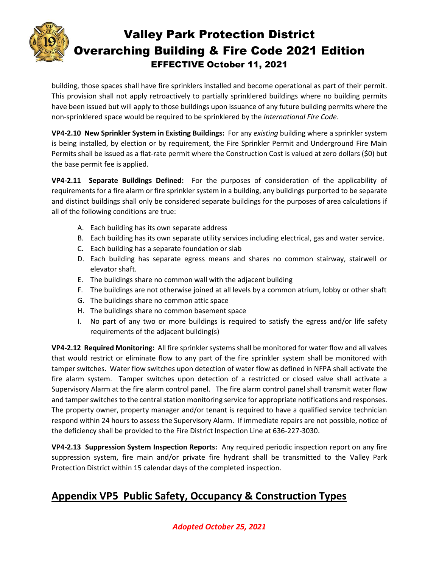![](_page_23_Picture_0.jpeg)

building, those spaces shall have fire sprinklers installed and become operational as part of their permit. This provision shall not apply retroactively to partially sprinklered buildings where no building permits have been issued but will apply to those buildings upon issuance of any future building permits where the non-sprinklered space would be required to be sprinklered by the *International Fire Code*.

**VP4-2.10 New Sprinkler System in Existing Buildings:** For any *existing* building where a sprinkler system is being installed, by election or by requirement, the Fire Sprinkler Permit and Underground Fire Main Permits shall be issued as a flat-rate permit where the Construction Cost is valued at zero dollars (\$0) but the base permit fee is applied.

**VP4-2.11 Separate Buildings Defined:** For the purposes of consideration of the applicability of requirements for a fire alarm or fire sprinkler system in a building, any buildings purported to be separate and distinct buildings shall only be considered separate buildings for the purposes of area calculations if all of the following conditions are true:

- A. Each building has its own separate address
- B. Each building has its own separate utility services including electrical, gas and water service.
- C. Each building has a separate foundation or slab
- D. Each building has separate egress means and shares no common stairway, stairwell or elevator shaft.
- E. The buildings share no common wall with the adjacent building
- F. The buildings are not otherwise joined at all levels by a common atrium, lobby or other shaft
- G. The buildings share no common attic space
- H. The buildings share no common basement space
- I. No part of any two or more buildings is required to satisfy the egress and/or life safety requirements of the adjacent building(s)

**VP4-2.12 Required Monitoring:** All fire sprinkler systems shall be monitored for water flow and all valves that would restrict or eliminate flow to any part of the fire sprinkler system shall be monitored with tamper switches. Water flow switches upon detection of water flow as defined in NFPA shall activate the fire alarm system. Tamper switches upon detection of a restricted or closed valve shall activate a Supervisory Alarm at the fire alarm control panel. The fire alarm control panel shall transmit water flow and tamper switches to the central station monitoring service for appropriate notifications and responses. The property owner, property manager and/or tenant is required to have a qualified service technician respond within 24 hours to assess the Supervisory Alarm. If immediate repairs are not possible, notice of the deficiency shall be provided to the Fire District Inspection Line at 636-227-3030.

**VP4-2.13 Suppression System Inspection Reports:** Any required periodic inspection report on any fire suppression system, fire main and/or private fire hydrant shall be transmitted to the Valley Park Protection District within 15 calendar days of the completed inspection.

## **Appendix VP5 Public Safety, Occupancy & Construction Types**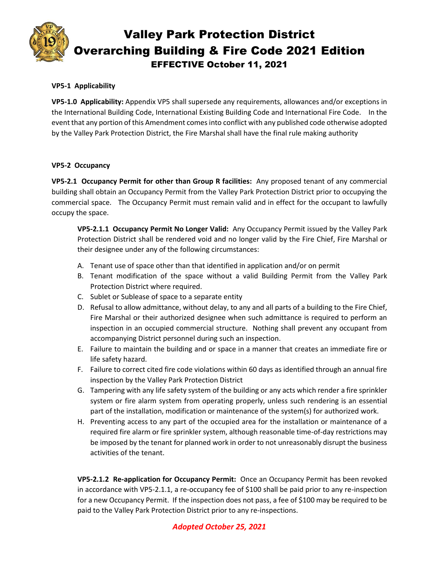![](_page_24_Picture_0.jpeg)

#### **VP5-1 Applicability**

**VP5-1.0 Applicability:** Appendix VP5 shall supersede any requirements, allowances and/or exceptions in the International Building Code, International Existing Building Code and International Fire Code. In the event that any portion of this Amendment comes into conflict with any published code otherwise adopted by the Valley Park Protection District, the Fire Marshal shall have the final rule making authority

#### **VP5-2 Occupancy**

**VP5-2.1 Occupancy Permit for other than Group R facilities:** Any proposed tenant of any commercial building shall obtain an Occupancy Permit from the Valley Park Protection District prior to occupying the commercial space. The Occupancy Permit must remain valid and in effect for the occupant to lawfully occupy the space.

**VP5-2.1.1 Occupancy Permit No Longer Valid:** Any Occupancy Permit issued by the Valley Park Protection District shall be rendered void and no longer valid by the Fire Chief, Fire Marshal or their designee under any of the following circumstances:

- A. Tenant use of space other than that identified in application and/or on permit
- B. Tenant modification of the space without a valid Building Permit from the Valley Park Protection District where required.
- C. Sublet or Sublease of space to a separate entity
- D. Refusal to allow admittance, without delay, to any and all parts of a building to the Fire Chief, Fire Marshal or their authorized designee when such admittance is required to perform an inspection in an occupied commercial structure. Nothing shall prevent any occupant from accompanying District personnel during such an inspection.
- E. Failure to maintain the building and or space in a manner that creates an immediate fire or life safety hazard.
- F. Failure to correct cited fire code violations within 60 days as identified through an annual fire inspection by the Valley Park Protection District
- G. Tampering with any life safety system of the building or any acts which render a fire sprinkler system or fire alarm system from operating properly, unless such rendering is an essential part of the installation, modification or maintenance of the system(s) for authorized work.
- H. Preventing access to any part of the occupied area for the installation or maintenance of a required fire alarm or fire sprinkler system, although reasonable time-of-day restrictions may be imposed by the tenant for planned work in order to not unreasonably disrupt the business activities of the tenant.

**VP5-2.1.2 Re-application for Occupancy Permit:** Once an Occupancy Permit has been revoked in accordance with VP5-2.1.1, a re-occupancy fee of \$100 shall be paid prior to any re-inspection for a new Occupancy Permit. If the inspection does not pass, a fee of \$100 may be required to be paid to the Valley Park Protection District prior to any re-inspections.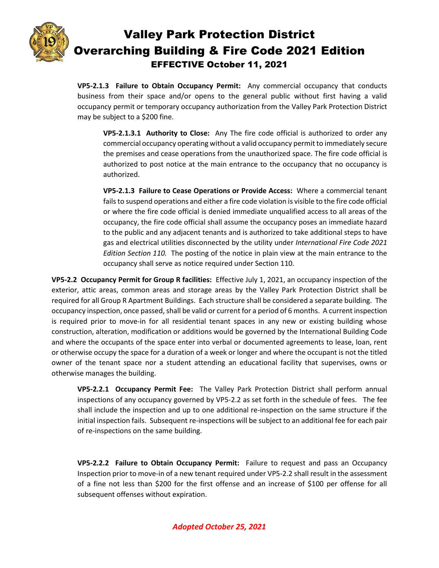![](_page_25_Picture_0.jpeg)

**VP5-2.1.3 Failure to Obtain Occupancy Permit:** Any commercial occupancy that conducts business from their space and/or opens to the general public without first having a valid occupancy permit or temporary occupancy authorization from the Valley Park Protection District may be subject to a \$200 fine.

**VP5-2.1.3.1 Authority to Close:** Any The fire code official is authorized to order any commercial occupancy operating without a valid occupancy permit to immediately secure the premises and cease operations from the unauthorized space. The fire code official is authorized to post notice at the main entrance to the occupancy that no occupancy is authorized.

**VP5-2.1.3 Failure to Cease Operations or Provide Access:** Where a commercial tenant fails to suspend operations and either a fire code violation is visible to the fire code official or where the fire code official is denied immediate unqualified access to all areas of the occupancy, the fire code official shall assume the occupancy poses an immediate hazard to the public and any adjacent tenants and is authorized to take additional steps to have gas and electrical utilities disconnected by the utility under *International Fire Code 2021 Edition Section 110.* The posting of the notice in plain view at the main entrance to the occupancy shall serve as notice required under Section 110*.*

**VP5-2.2 Occupancy Permit for Group R facilities:** Effective July 1, 2021, an occupancy inspection of the exterior, attic areas, common areas and storage areas by the Valley Park Protection District shall be required for all Group R Apartment Buildings. Each structure shall be considered a separate building. The occupancy inspection, once passed, shall be valid or current for a period of 6 months. A current inspection is required prior to move-in for all residential tenant spaces in any new or existing building whose construction, alteration, modification or additions would be governed by the International Building Code and where the occupants of the space enter into verbal or documented agreements to lease, loan, rent or otherwise occupy the space for a duration of a week or longer and where the occupant is not the titled owner of the tenant space nor a student attending an educational facility that supervises, owns or otherwise manages the building.

**VP5-2.2.1 Occupancy Permit Fee:** The Valley Park Protection District shall perform annual inspections of any occupancy governed by VP5-2.2 as set forth in the schedule of fees. The fee shall include the inspection and up to one additional re-inspection on the same structure if the initial inspection fails. Subsequent re-inspections will be subject to an additional fee for each pair of re-inspections on the same building.

**VP5-2.2.2 Failure to Obtain Occupancy Permit:** Failure to request and pass an Occupancy Inspection prior to move-in of a new tenant required under VP5-2.2 shall result in the assessment of a fine not less than \$200 for the first offense and an increase of \$100 per offense for all subsequent offenses without expiration.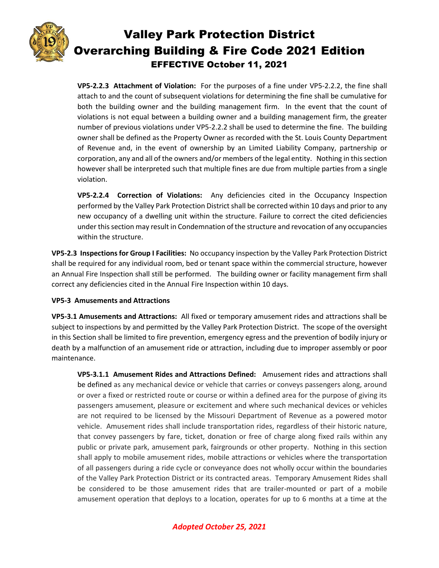![](_page_26_Picture_0.jpeg)

**VP5-2.2.3 Attachment of Violation:** For the purposes of a fine under VP5-2.2.2, the fine shall attach to and the count of subsequent violations for determining the fine shall be cumulative for both the building owner and the building management firm. In the event that the count of violations is not equal between a building owner and a building management firm, the greater number of previous violations under VP5-2.2.2 shall be used to determine the fine. The building owner shall be defined as the Property Owner as recorded with the St. Louis County Department of Revenue and, in the event of ownership by an Limited Liability Company, partnership or corporation, any and all of the owners and/or members of the legal entity. Nothing in this section however shall be interpreted such that multiple fines are due from multiple parties from a single violation.

**VP5-2.2.4 Correction of Violations:** Any deficiencies cited in the Occupancy Inspection performed by the Valley Park Protection District shall be corrected within 10 days and prior to any new occupancy of a dwelling unit within the structure. Failure to correct the cited deficiencies under this section may result in Condemnation of the structure and revocation of any occupancies within the structure.

**VP5-2.3 Inspections for Group I Facilities:** No occupancy inspection by the Valley Park Protection District shall be required for any individual room, bed or tenant space within the commercial structure, however an Annual Fire Inspection shall still be performed. The building owner or facility management firm shall correct any deficiencies cited in the Annual Fire Inspection within 10 days.

#### **VP5-3 Amusements and Attractions**

**VP5-3.1 Amusements and Attractions:** All fixed or temporary amusement rides and attractions shall be subject to inspections by and permitted by the Valley Park Protection District. The scope of the oversight in this Section shall be limited to fire prevention, emergency egress and the prevention of bodily injury or death by a malfunction of an amusement ride or attraction, including due to improper assembly or poor maintenance.

**VP5-3.1.1 Amusement Rides and Attractions Defined:** Amusement rides and attractions shall be defined as any mechanical device or vehicle that carries or conveys passengers along, around or over a fixed or restricted route or course or within a defined area for the purpose of giving its passengers amusement, pleasure or excitement and where such mechanical devices or vehicles are not required to be licensed by the Missouri Department of Revenue as a powered motor vehicle. Amusement rides shall include transportation rides, regardless of their historic nature, that convey passengers by fare, ticket, donation or free of charge along fixed rails within any public or private park, amusement park, fairgrounds or other property. Nothing in this section shall apply to mobile amusement rides, mobile attractions or vehicles where the transportation of all passengers during a ride cycle or conveyance does not wholly occur within the boundaries of the Valley Park Protection District or its contracted areas. Temporary Amusement Rides shall be considered to be those amusement rides that are trailer-mounted or part of a mobile amusement operation that deploys to a location, operates for up to 6 months at a time at the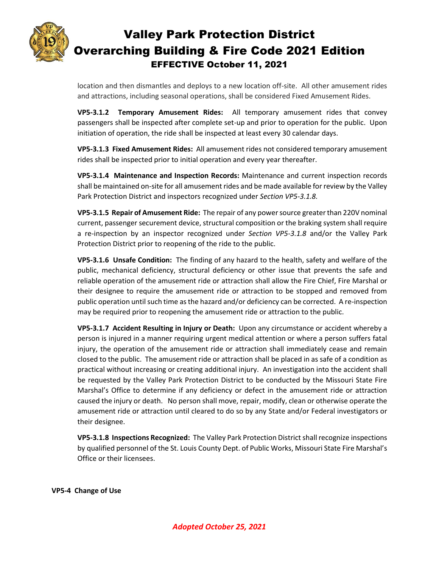![](_page_27_Picture_0.jpeg)

location and then dismantles and deploys to a new location off-site. All other amusement rides and attractions, including seasonal operations, shall be considered Fixed Amusement Rides.

**VP5-3.1.2 Temporary Amusement Rides:** All temporary amusement rides that convey passengers shall be inspected after complete set-up and prior to operation for the public. Upon initiation of operation, the ride shall be inspected at least every 30 calendar days.

**VP5-3.1.3 Fixed Amusement Rides:** All amusement rides not considered temporary amusement rides shall be inspected prior to initial operation and every year thereafter.

**VP5-3.1.4 Maintenance and Inspection Records:** Maintenance and current inspection records shall be maintained on-site for all amusement rides and be made available for review by the Valley Park Protection District and inspectors recognized under *Section VP5-3.1.8.*

**VP5-3.1.5 Repair of Amusement Ride:** The repair of any power source greater than 220V nominal current, passenger securement device, structural composition or the braking system shall require a re-inspection by an inspector recognized under *Section VP5-3.1.8* and/or the Valley Park Protection District prior to reopening of the ride to the public.

**VP5-3.1.6 Unsafe Condition:** The finding of any hazard to the health, safety and welfare of the public, mechanical deficiency, structural deficiency or other issue that prevents the safe and reliable operation of the amusement ride or attraction shall allow the Fire Chief, Fire Marshal or their designee to require the amusement ride or attraction to be stopped and removed from public operation until such time as the hazard and/or deficiency can be corrected. A re-inspection may be required prior to reopening the amusement ride or attraction to the public.

**VP5-3.1.7 Accident Resulting in Injury or Death:** Upon any circumstance or accident whereby a person is injured in a manner requiring urgent medical attention or where a person suffers fatal injury, the operation of the amusement ride or attraction shall immediately cease and remain closed to the public. The amusement ride or attraction shall be placed in as safe of a condition as practical without increasing or creating additional injury. An investigation into the accident shall be requested by the Valley Park Protection District to be conducted by the Missouri State Fire Marshal's Office to determine if any deficiency or defect in the amusement ride or attraction caused the injury or death. No person shall move, repair, modify, clean or otherwise operate the amusement ride or attraction until cleared to do so by any State and/or Federal investigators or their designee.

**VP5-3.1.8 Inspections Recognized:** The Valley Park Protection District shall recognize inspections by qualified personnel of the St. Louis County Dept. of Public Works, Missouri State Fire Marshal's Office or their licensees.

**VP5-4 Change of Use**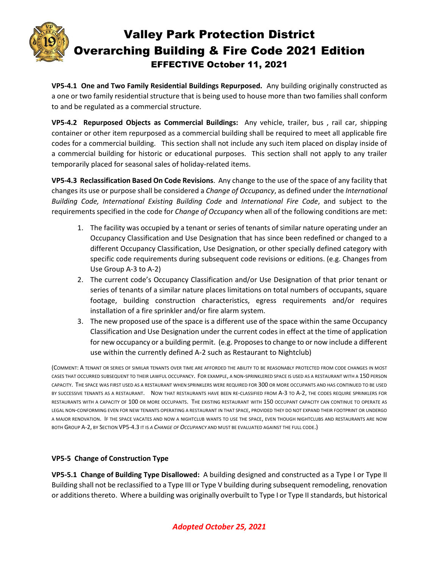![](_page_28_Picture_0.jpeg)

**VP5-4.1 One and Two Family Residential Buildings Repurposed.** Any building originally constructed as a one or two family residential structure that is being used to house more than two families shall conform to and be regulated as a commercial structure.

**VP5-4.2 Repurposed Objects as Commercial Buildings:** Any vehicle, trailer, bus , rail car, shipping container or other item repurposed as a commercial building shall be required to meet all applicable fire codes for a commercial building. This section shall not include any such item placed on display inside of a commercial building for historic or educational purposes. This section shall not apply to any trailer temporarily placed for seasonal sales of holiday-related items.

**VP5-4.3 Reclassification Based On Code Revisions**. Any change to the use of the space of any facility that changes its use or purpose shall be considered a *Change of Occupancy*, as defined under the *International Building Code, International Existing Building Code* and *International Fire Code*, and subject to the requirements specified in the code for *Change of Occupancy* when all of the following conditions are met:

- 1. The facility was occupied by a tenant or series of tenants of similar nature operating under an Occupancy Classification and Use Designation that has since been redefined or changed to a different Occupancy Classification, Use Designation, or other specially defined category with specific code requirements during subsequent code revisions or editions. (e.g. Changes from Use Group A-3 to A-2)
- 2. The current code's Occupancy Classification and/or Use Designation of that prior tenant or series of tenants of a similar nature places limitations on total numbers of occupants, square footage, building construction characteristics, egress requirements and/or requires installation of a fire sprinkler and/or fire alarm system.
- 3. The new proposed use of the space is a different use of the space within the same Occupancy Classification and Use Designation under the current codes in effect at the time of application for new occupancy or a building permit. (e.g. Proposes to change to or now include a different use within the currently defined A-2 such as Restaurant to Nightclub)

(COMMENT: A TENANT OR SERIES OF SIMILAR TENANTS OVER TIME ARE AFFORDED THE ABILITY TO BE REASONABLY PROTECTED FROM CODE CHANGES IN MOST CASES THAT OCCURRED SUBSEQUENT TO THEIR LAWFUL OCCUPANCY. FOR EXAMPLE, A NON-SPRINKLERED SPACE IS USED AS A RESTAURANT WITH A 150 PERSON CAPACITY. THE SPACE WAS FIRST USED AS A RESTAURANT WHEN SPRINKLERS WERE REQUIRED FOR 300 OR MORE OCCUPANTS AND HAS CONTINUED TO BE USED BY SUCCESSIVE TENANTS AS A RESTAURANT. NOW THAT RESTAURANTS HAVE BEEN RE-CLASSIFIED FROM A-3 TO A-2, THE CODES REQUIRE SPRINKLERS FOR RESTAURANTS WITH A CAPACITY OF 100 OR MORE OCCUPANTS. THE EXISTING RESTAURANT WITH 150 OCCUPANT CAPACITY CAN CONTINUE TO OPERATE AS LEGAL NON-CONFORMING EVEN FOR NEW TENANTS OPERATING A RESTAURANT IN THAT SPACE, PROVIDED THEY DO NOT EXPAND THEIR FOOTPRINT OR UNDERGO A MAJOR RENOVATION. IF THE SPACE VACATES AND NOW A NIGHTCLUB WANTS TO USE THE SPACE, EVEN THOUGH NIGHTCLUBS AND RESTAURANTS ARE NOW BOTH GROUP A-2, BY SECTION VP5-4.3 IT IS *A CHANGE OF OCCUPANCY* AND MUST BE EVALUATED AGAINST THE FULL CODE.)

#### **VP5-5 Change of Construction Type**

**VP5-5.1 Change of Building Type Disallowed:** A building designed and constructed as a Type I or Type II Building shall not be reclassified to a Type III or Type V building during subsequent remodeling, renovation or additions thereto. Where a building was originally overbuilt to Type I or Type II standards, but historical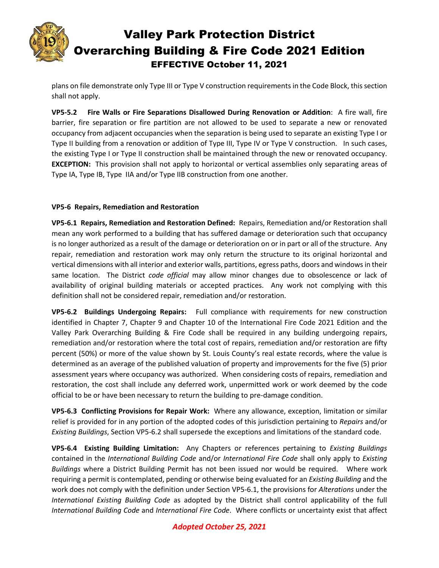![](_page_29_Picture_0.jpeg)

plans on file demonstrate only Type III or Type V construction requirements in the Code Block, this section shall not apply.

**VP5-5.2 Fire Walls or Fire Separations Disallowed During Renovation or Addition**: A fire wall, fire barrier, fire separation or fire partition are not allowed to be used to separate a new or renovated occupancy from adjacent occupancies when the separation is being used to separate an existing Type I or Type II building from a renovation or addition of Type III, Type IV or Type V construction. In such cases, the existing Type I or Type II construction shall be maintained through the new or renovated occupancy. **EXCEPTION:** This provision shall not apply to horizontal or vertical assemblies only separating areas of Type IA, Type IB, Type IIA and/or Type IIB construction from one another.

#### **VP5-6 Repairs, Remediation and Restoration**

**VP5-6.1 Repairs, Remediation and Restoration Defined:** Repairs, Remediation and/or Restoration shall mean any work performed to a building that has suffered damage or deterioration such that occupancy is no longer authorized as a result of the damage or deterioration on or in part or all of the structure. Any repair, remediation and restoration work may only return the structure to its original horizontal and vertical dimensions with all interior and exterior walls, partitions, egress paths, doors and windows in their same location. The District *code official* may allow minor changes due to obsolescence or lack of availability of original building materials or accepted practices. Any work not complying with this definition shall not be considered repair, remediation and/or restoration.

**VP5-6.2 Buildings Undergoing Repairs:** Full compliance with requirements for new construction identified in Chapter 7, Chapter 9 and Chapter 10 of the International Fire Code 2021 Edition and the Valley Park Overarching Building & Fire Code shall be required in any building undergoing repairs, remediation and/or restoration where the total cost of repairs, remediation and/or restoration are fifty percent (50%) or more of the value shown by St. Louis County's real estate records, where the value is determined as an average of the published valuation of property and improvements for the five (5) prior assessment years where occupancy was authorized. When considering costs of repairs, remediation and restoration, the cost shall include any deferred work, unpermitted work or work deemed by the code official to be or have been necessary to return the building to pre-damage condition.

**VP5-6.3 Conflicting Provisions for Repair Work:** Where any allowance, exception, limitation or similar relief is provided for in any portion of the adopted codes of this jurisdiction pertaining to *Repairs* and/or *Existing Buildings*, Section VP5-6.2 shall supersede the exceptions and limitations of the standard code.

**VP5-6.4 Existing Building Limitation:** Any Chapters or references pertaining to *Existing Buildings* contained in the *International Building Code* and/or *International Fire Code* shall only apply to *Existing Buildings* where a District Building Permit has not been issued nor would be required. Where work requiring a permit is contemplated, pending or otherwise being evaluated for an *Existing Building* and the work does not comply with the definition under Section VP5-6.1, the provisions for *Alterations* under the *International Existing Building Code* as adopted by the District shall control applicability of the full *International Building Code* and *International Fire Code*. Where conflicts or uncertainty exist that affect